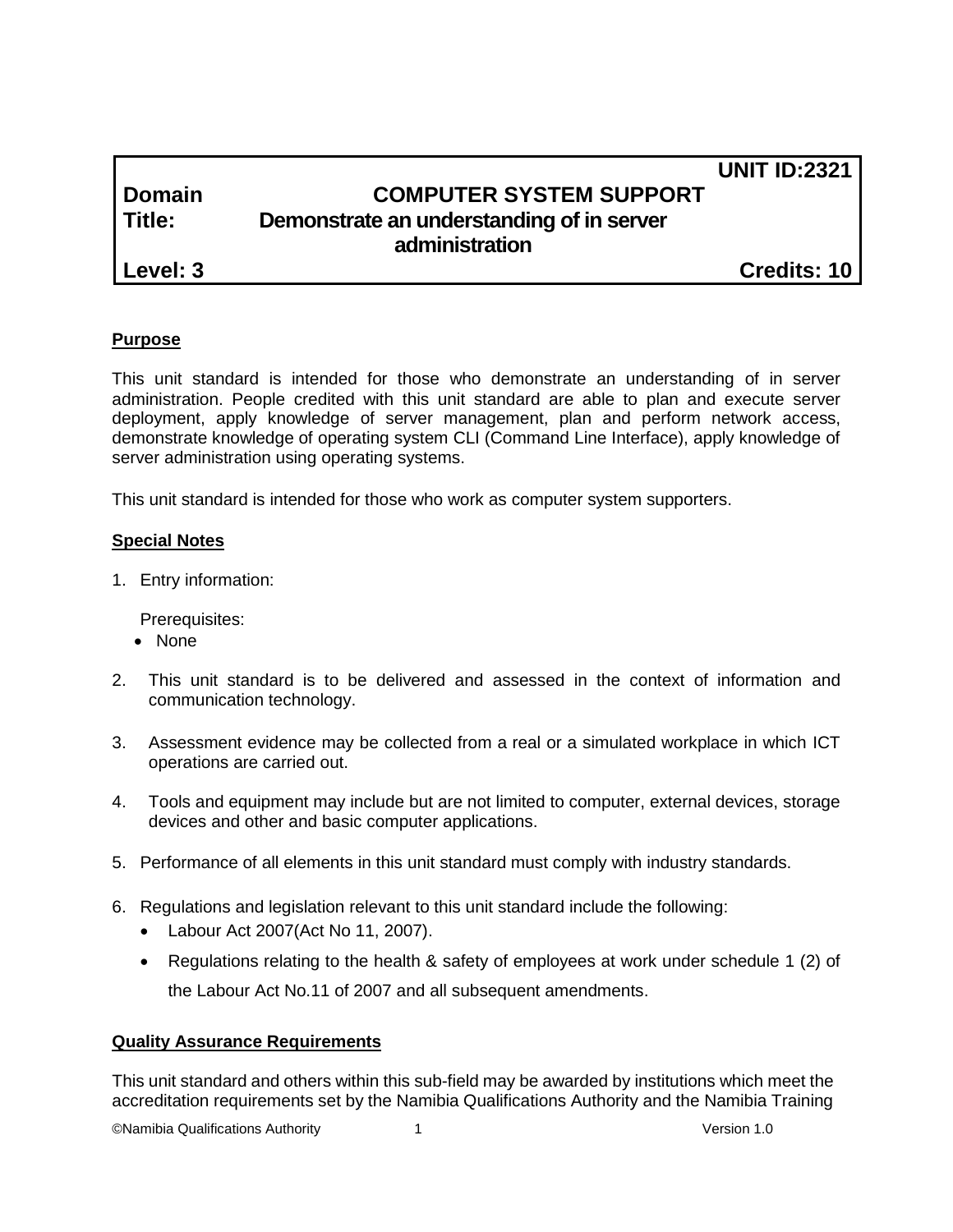|        |                                           | <b>UNIT ID:2321</b> |
|--------|-------------------------------------------|---------------------|
| Domain | <b>COMPUTER SYSTEM SUPPORT</b>            |                     |
| Title: | Demonstrate an understanding of in server |                     |
|        | administration                            |                     |

**Level: 3 Credits: 10**

# **Purpose**

This unit standard is intended for those who demonstrate an understanding of in server administration. People credited with this unit standard are able to plan and execute server deployment, apply knowledge of server management, plan and perform network access, demonstrate knowledge of operating system CLI (Command Line Interface), apply knowledge of server administration using operating systems.

This unit standard is intended for those who work as computer system supporters.

#### **Special Notes**

1. Entry information:

Prerequisites:

- None
- 2. This unit standard is to be delivered and assessed in the context of information and communication technology.
- 3. Assessment evidence may be collected from a real or a simulated workplace in which ICT operations are carried out.
- 4. Tools and equipment may include but are not limited to computer, external devices, storage devices and other and basic computer applications.
- 5. Performance of all elements in this unit standard must comply with industry standards.
- 6. Regulations and legislation relevant to this unit standard include the following:
	- Labour Act 2007(Act No 11, 2007).
	- Regulations relating to the health & safety of employees at work under schedule 1 (2) of the Labour Act No.11 of 2007 and all subsequent amendments.

#### **Quality Assurance Requirements**

This unit standard and others within this sub-field may be awarded by institutions which meet the accreditation requirements set by the Namibia Qualifications Authority and the Namibia Training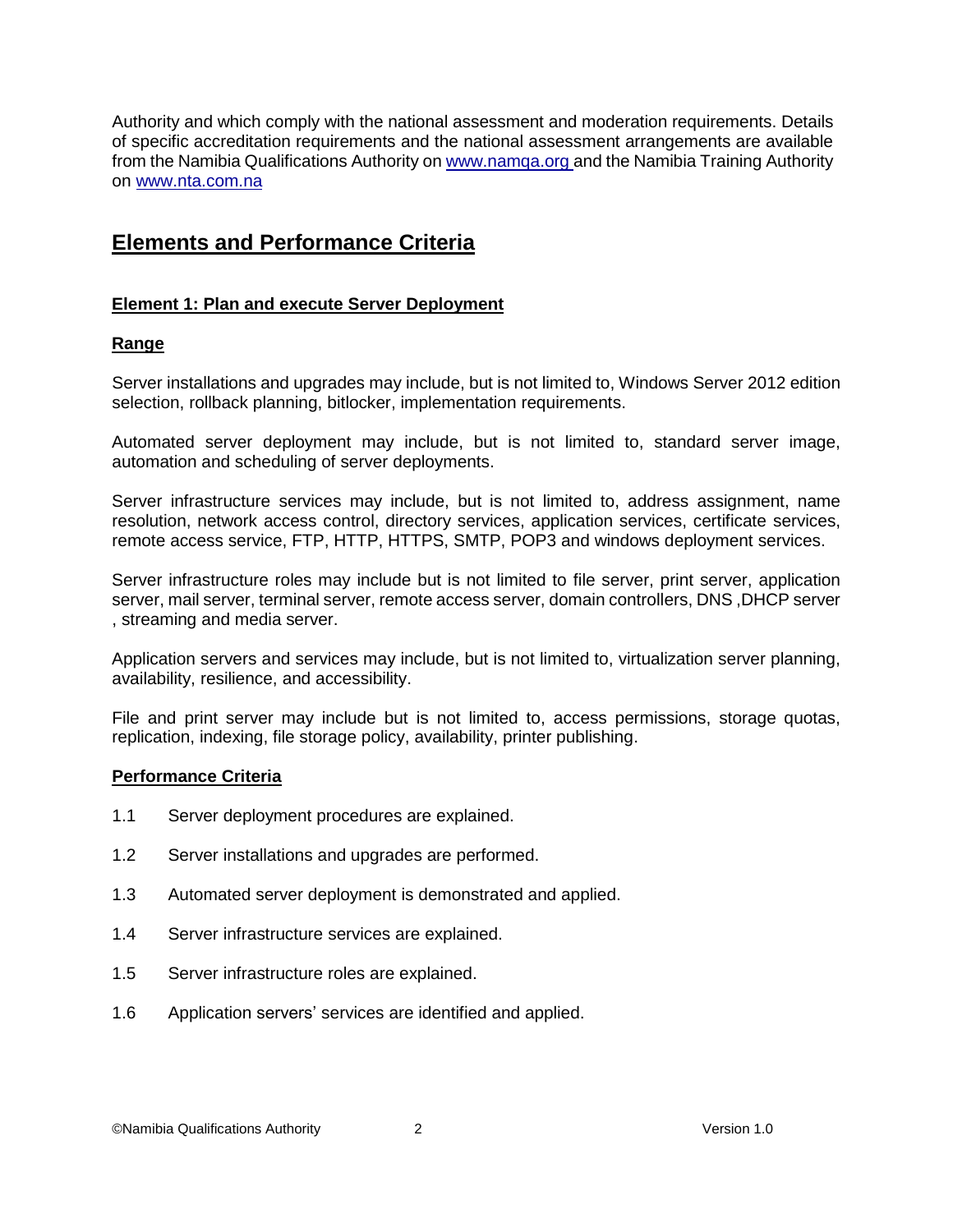Authority and which comply with the national assessment and moderation requirements. Details of specific accreditation requirements and the national assessment arrangements are available from the Namibia Qualifications Authority o[n www.namqa.org](http://www.namqa.org/) and the Namibia Training Authority on [www.nta.com.na](http://www.nta.com.na/)

# **Elements and Performance Criteria**

#### **Element 1: Plan and execute Server Deployment**

#### **Range**

Server installations and upgrades may include, but is not limited to, Windows Server 2012 edition selection, rollback planning, bitlocker, implementation requirements.

Automated server deployment may include, but is not limited to, standard server image, automation and scheduling of server deployments.

Server infrastructure services may include, but is not limited to, address assignment, name resolution, network access control, directory services, application services, certificate services, remote access service, FTP, HTTP, HTTPS, SMTP, POP3 and windows deployment services.

Server infrastructure roles may include but is not limited to file server, print server, application server, mail server, terminal server, remote access server, domain controllers, DNS ,DHCP server , streaming and media server.

Application servers and services may include, but is not limited to, virtualization server planning, availability, resilience, and accessibility.

File and print server may include but is not limited to, access permissions, storage quotas, replication, indexing, file storage policy, availability, printer publishing.

#### **Performance Criteria**

- 1.1 Server deployment procedures are explained.
- 1.2 Server installations and upgrades are performed.
- 1.3 Automated server deployment is demonstrated and applied.
- 1.4 Server infrastructure services are explained.
- 1.5 Server infrastructure roles are explained.
- 1.6 Application servers' services are identified and applied.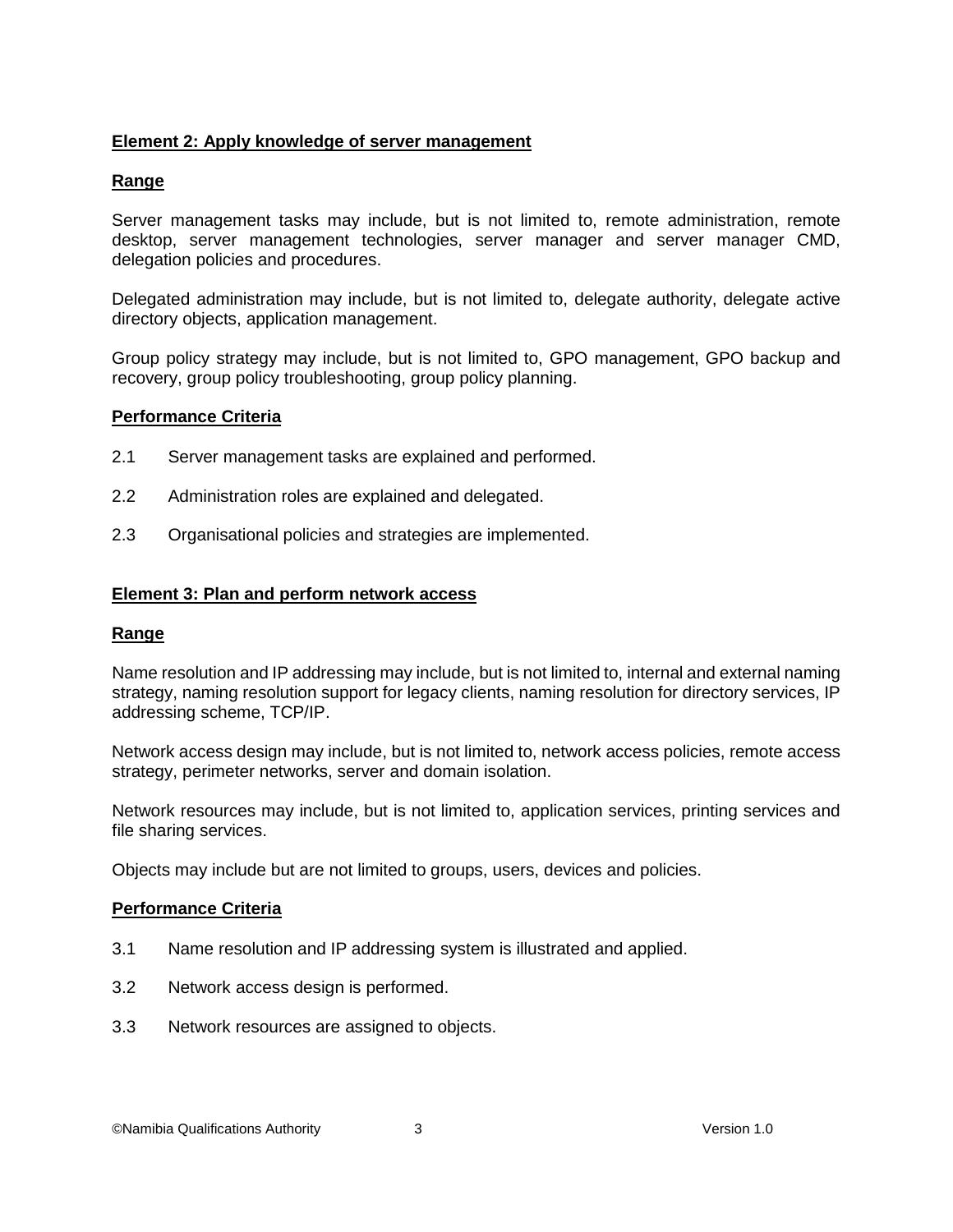# **Element 2: Apply knowledge of server management**

## **Range**

Server management tasks may include, but is not limited to, remote administration, remote desktop, server management technologies, server manager and server manager CMD, delegation policies and procedures.

Delegated administration may include, but is not limited to, delegate authority, delegate active directory objects, application management.

Group policy strategy may include, but is not limited to, GPO management, GPO backup and recovery, group policy troubleshooting, group policy planning.

## **Performance Criteria**

- 2.1 Server management tasks are explained and performed.
- 2.2 Administration roles are explained and delegated.
- 2.3 Organisational policies and strategies are implemented.

#### **Element 3: Plan and perform network access**

#### **Range**

Name resolution and IP addressing may include, but is not limited to, internal and external naming strategy, naming resolution support for legacy clients, naming resolution for directory services, IP addressing scheme, TCP/IP.

Network access design may include, but is not limited to, network access policies, remote access strategy, perimeter networks, server and domain isolation.

Network resources may include, but is not limited to, application services, printing services and file sharing services.

Objects may include but are not limited to groups, users, devices and policies.

#### **Performance Criteria**

- 3.1 Name resolution and IP addressing system is illustrated and applied.
- 3.2 Network access design is performed.
- 3.3 Network resources are assigned to objects.